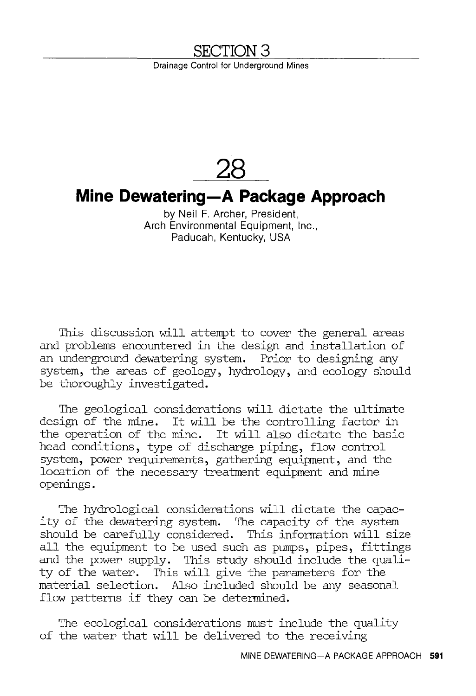## **SECTION 3**

Drainage Control for Underground Mines

## **28 Mine Dewatering-A Package Approach**  by Neil F. Archer, President, Arch Environmental Equipment, Inc., Paducah, Kentucky, USA

This discussion will attempt to cover the general areas and problems encountered in the design and installation of an underground dewatering system. Prior to designing any system, the areas of geology, hydrology, and ecology should be thoroughly investigated.

The geological considerations will dictate the ultinate design of the mine. It will be the controlling factor in the operation of the mine. It will also dictate the basic head conditions, type of discharge piping, flow control system, power requirements, gathering equipment, and the location of the necessary treatment equipment and mine openings.

The hydrological considerations will dictate the capacity of the dewatering system. The capacity of the system should be carefully considered. This infonnation will size all the equipment to be used such as pumps, pipes, fittings and the power supply. This study should include the quality of the water. This will give the parameters for the material selection. Also included should be any seasonal flow patterns if they can be determined.

The ecological considerations must include the quality of the water that will be delivered to the receiving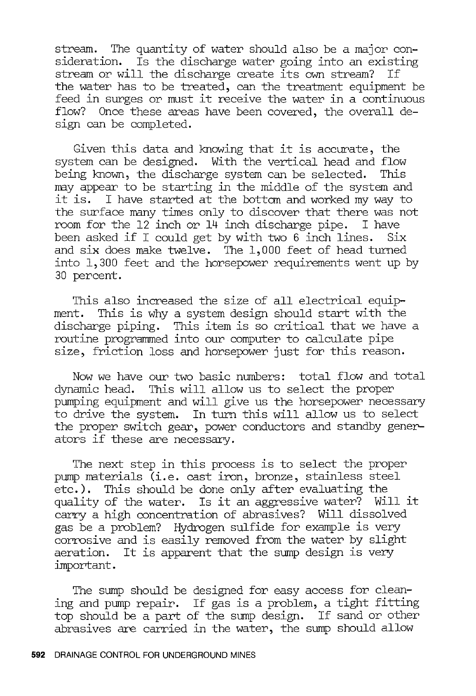stream. The quantity of water should also be a major consideration. Is the discharge water going into an existing stream or will the discharge create its own stream? If the water has to be treated, can the treatment equipment be feed in surges or must it receive the water in a continuous flow? Once these areas have been covered, the overall design can be completed.

Given this data and knowing that it is accurate, the system can be designed. With the vertical head and flow being known, the discharge system can be selected. may appear to be starting in the middle of the system and<br>it is. I have started at the bottom and worked my way to I have started at the bottom and worked my way to the surface many times only to discover that there was not room for the 12 inch or 14 inch discharge pipe. I have been asked if I could get by with two 6 inch lines. Six and six does make twelve. The 1,000 feet of head turned into 1,300 feet and the horsepower requirements went up by 30 percent.

This also increased the size of all electrical equipment. This is why a system design should start with the discharge piping. This item is so critical that we have a routine programmed into our computer to calculate pipe size, friction loss and horsepower just for this reason.

Now we have our two basic numbers: total flow and total dynamic head. This will allow us to select the proper pumping equipment and will give us the horsepower necessary to drive the system. In turn this will allow us to select the proper switch gear, power conductors and standby generators if these are necessary.

The next step in this process is to select the proper pump materials (i.e. cast iron, bronze, stainless steel etc.). This should be done only after evaluating the quality of the water. Is it an aggressive water? Will it carry a high concentration of abrasives? Will dissolved gas be a problem? Hydrogen sulfide for example is very corrosive and is easily removed from the water by slight aeration. It is apparent that the sump design is very important.

The sump should be designed for easy access for cleaning and pump repair. If gas is a problem, a tight fitting top should be a part of the sump design. If sand or other abrasives are carried in the water, the sump should allow